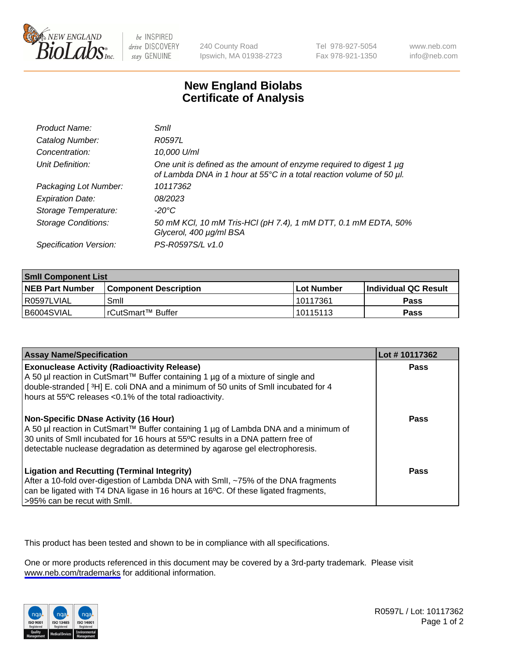

be INSPIRED drive DISCOVERY stay GENUINE

240 County Road Ipswich, MA 01938-2723 Tel 978-927-5054 Fax 978-921-1350

www.neb.com info@neb.com

## **New England Biolabs Certificate of Analysis**

| Product Name:              | Smil                                                                                                                                             |
|----------------------------|--------------------------------------------------------------------------------------------------------------------------------------------------|
| Catalog Number:            | R0597L                                                                                                                                           |
| Concentration:             | 10,000 U/ml                                                                                                                                      |
| Unit Definition:           | One unit is defined as the amount of enzyme required to digest 1 $\mu$ g<br>of Lambda DNA in 1 hour at 55°C in a total reaction volume of 50 µl. |
| Packaging Lot Number:      | 10117362                                                                                                                                         |
| <b>Expiration Date:</b>    | 08/2023                                                                                                                                          |
| Storage Temperature:       | -20°C                                                                                                                                            |
| <b>Storage Conditions:</b> | 50 mM KCl, 10 mM Tris-HCl (pH 7.4), 1 mM DTT, 0.1 mM EDTA, 50%<br>Glycerol, 400 µg/ml BSA                                                        |
| Specification Version:     | PS-R0597S/L v1.0                                                                                                                                 |

| <b>Smil Component List</b> |                              |              |                       |  |
|----------------------------|------------------------------|--------------|-----------------------|--|
| <b>NEB Part Number</b>     | <b>Component Description</b> | l Lot Number | ∣Individual QC Result |  |
| R0597LVIAL                 | Smil                         | 10117361     | Pass                  |  |
| B6004SVIAL                 | l rCutSmart™ Buffer          | 10115113     | Pass                  |  |

| <b>Assay Name/Specification</b>                                                                                                                                                                                                                                                                     | Lot #10117362 |
|-----------------------------------------------------------------------------------------------------------------------------------------------------------------------------------------------------------------------------------------------------------------------------------------------------|---------------|
| <b>Exonuclease Activity (Radioactivity Release)</b><br>A 50 µl reaction in CutSmart™ Buffer containing 1 µg of a mixture of single and<br>double-stranded [3H] E. coli DNA and a minimum of 50 units of SmII incubated for 4<br>hours at 55°C releases <0.1% of the total radioactivity.            | Pass          |
| Non-Specific DNase Activity (16 Hour)<br>  A 50 µl reaction in CutSmart™ Buffer containing 1 µg of Lambda DNA and a minimum of<br>30 units of SmII incubated for 16 hours at 55°C results in a DNA pattern free of<br>detectable nuclease degradation as determined by agarose gel electrophoresis. | Pass          |
| <b>Ligation and Recutting (Terminal Integrity)</b><br>After a 10-fold over-digestion of Lambda DNA with Smll, ~75% of the DNA fragments<br>can be ligated with T4 DNA ligase in 16 hours at 16°C. Of these ligated fragments,<br>>95% can be recut with Smll.                                       | Pass          |

This product has been tested and shown to be in compliance with all specifications.

One or more products referenced in this document may be covered by a 3rd-party trademark. Please visit <www.neb.com/trademarks>for additional information.